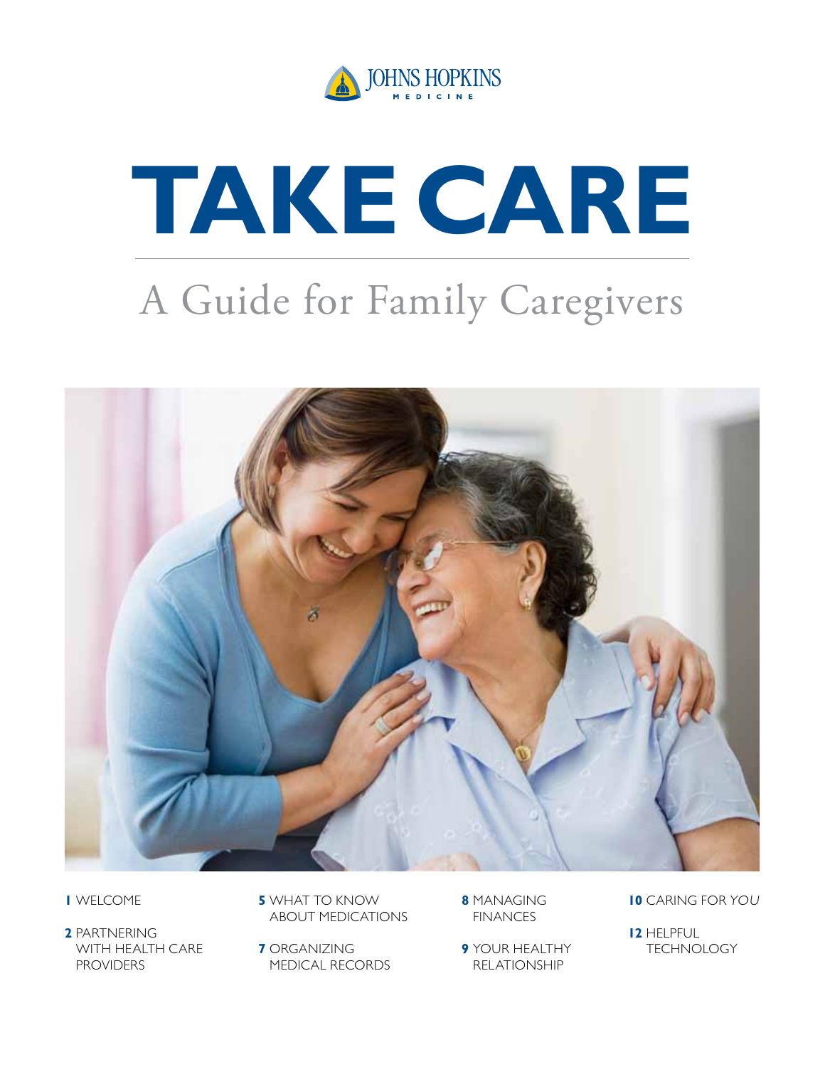

# **take carE**

### A Guide for Family Caregivers



- **1** welcome
- **2** Partnering with Health care **PROVIDERS**
- **5** WHAT TO KNOW About Medications
- **7** Organizing Medical Records
- **8** Managing **FINANCES**
- **9** Your Healthy **RELATIONSHIP**
- **10** Caring foR You
- **12** HELPFUL **TECHNOLOGY**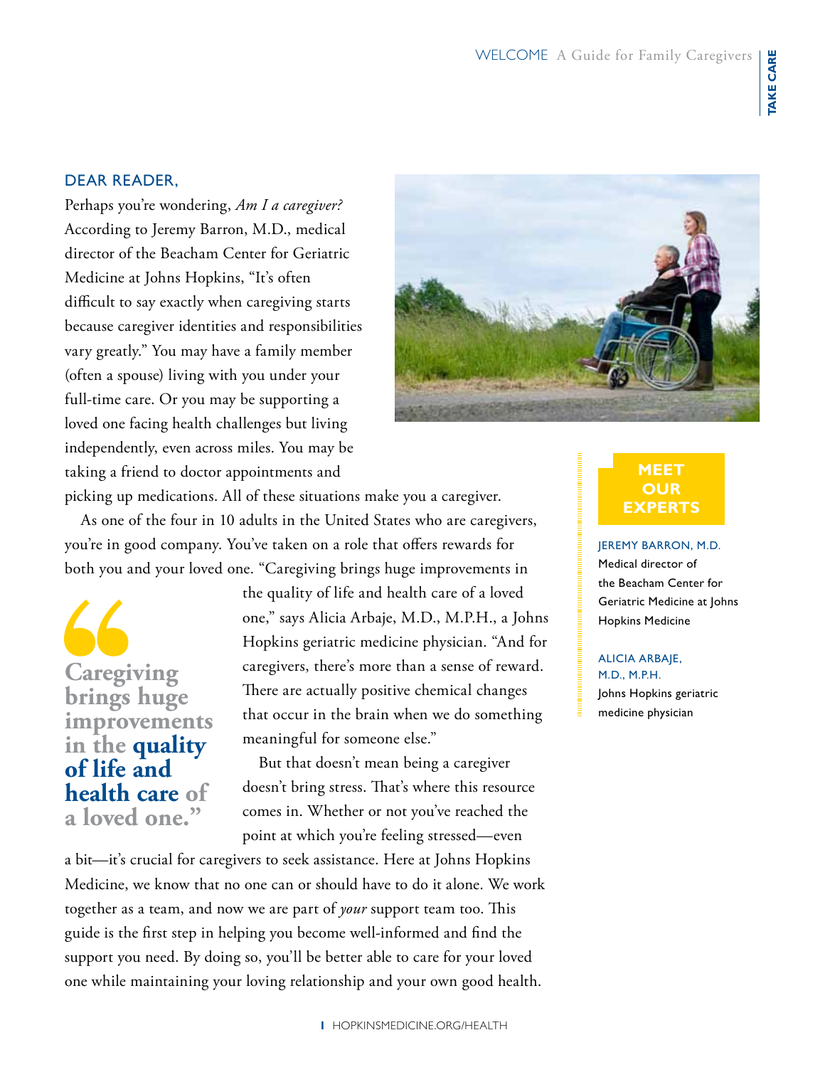### Dear Reader,

Perhaps you're wondering, *Am I a caregiver?*  According to Jeremy Barron, M.D., medical director of the Beacham Center for Geriatric Medicine at Johns Hopkins, "It's often difficult to say exactly when caregiving starts because caregiver identities and responsibilities vary greatly." You may have a family member (often a spouse) living with you under your full-time care. Or you may be supporting a loved one facing health challenges but living independently, even across miles. You may be taking a friend to doctor appointments and



picking up medications. All of these situations make you a caregiver. As one of the four in 10 adults in the United States who are caregivers,

you're in good company. You've taken on a role that offers rewards for both you and your loved one. "Caregiving brings huge improvements in

**Caregiving brings huge improvements in the quality of life and health care of a loved one."**

the quality of life and health care of a loved one," says Alicia Arbaje, M.D., M.P.H., a Johns Hopkins geriatric medicine physician. "And for caregivers, there's more than a sense of reward. There are actually positive chemical changes that occur in the brain when we do something meaningful for someone else."

But that doesn't mean being a caregiver doesn't bring stress. That's where this resource comes in. Whether or not you've reached the point at which you're feeling stressed—even

a bit—it's crucial for caregivers to seek assistance. Here at Johns Hopkins Medicine, we know that no one can or should have to do it alone. We work together as a team, and now we are part of *your* support team too. This guide is the first step in helping you become well-informed and find the support you need. By doing so, you'll be better able to care for your loved one while maintaining your loving relationship and your own good health.

### **meet our experts**

Jeremy Barron, M.D. Medical director of the Beacham Center for Geriatric Medicine at Johns Hopkins Medicine

### Alicia Arbaje, M.D., M.P.H. Johns Hopkins geriatric

medicine physician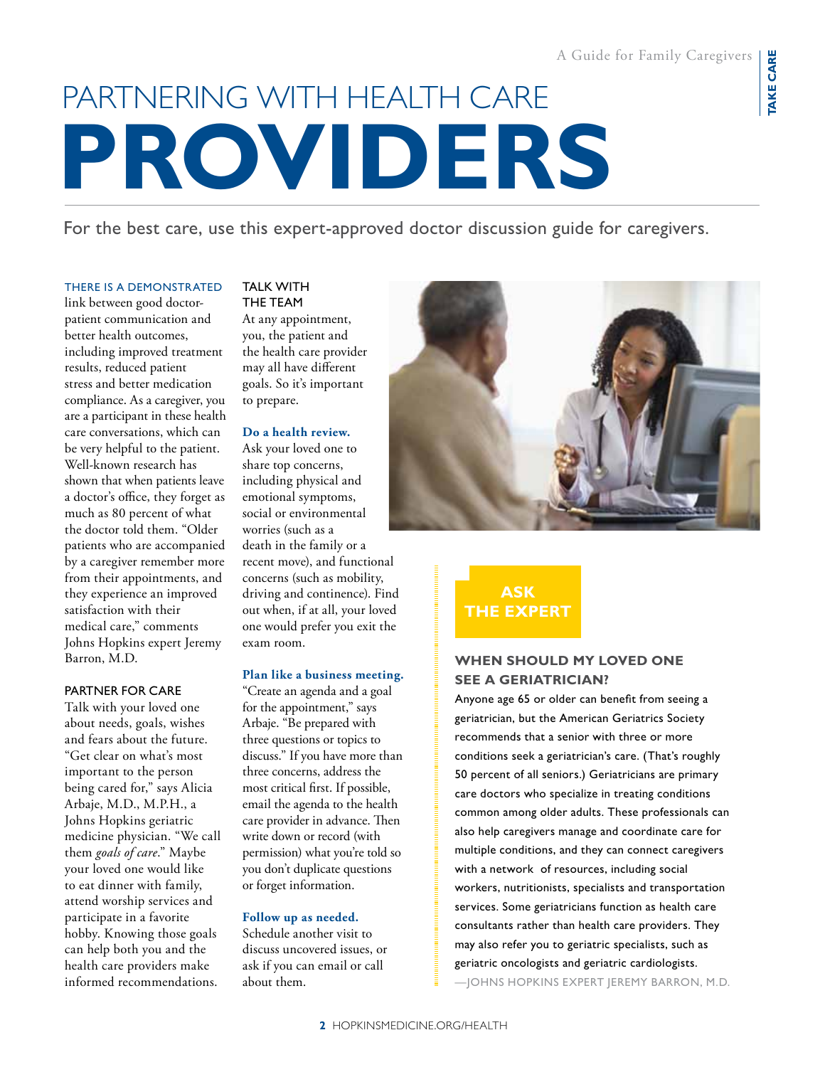### **providers** Partnering with health care

For the best care, use this expert-approved doctor discussion guide for caregivers.

#### there is a demonstrated

link between good doctorpatient communication and better health outcomes, including improved treatment results, reduced patient stress and better medication compliance. As a caregiver, you are a participant in these health care conversations, which can be very helpful to the patient. Well-known research has shown that when patients leave a doctor's office, they forget as much as 80 percent of what the doctor told them. "Older patients who are accompanied by a caregiver remember more from their appointments, and they experience an improved satisfaction with their medical care," comments Johns Hopkins expert Jeremy Barron, M.D.

### Partner for care

Talk with your loved one about needs, goals, wishes and fears about the future. "Get clear on what's most important to the person being cared for," says Alicia Arbaje, M.D., M.P.H., a Johns Hopkins geriatric medicine physician. "We call them *goals of care*." Maybe your loved one would like to eat dinner with family, attend worship services and participate in a favorite hobby. Knowing those goals can help both you and the health care providers make informed recommendations.

### **TALK WITH** the Team At any appointment, you, the patient and the health care provider may all have different goals. So it's important to prepare.

### **Do a health review.**

Ask your loved one to share top concerns, including physical and emotional symptoms, social or environmental worries (such as a death in the family or a recent move), and functional concerns (such as mobility, driving and continence). Find out when, if at all, your loved one would prefer you exit the exam room.

### **Plan like a business meeting.**

"Create an agenda and a goal for the appointment," says Arbaje. "Be prepared with three questions or topics to discuss." If you have more than three concerns, address the most critical first. If possible, email the agenda to the health care provider in advance. Then write down or record (with permission) what you're told so you don't duplicate questions or forget information.

### **Follow up as needed.**

Schedule another visit to discuss uncovered issues, or ask if you can email or call about them.



### **ask the expert**

### **When should my loved one see a geriatrician?**

Anyone age 65 or older can benefit from seeing a geriatrician, but the American Geriatrics Society recommends that a senior with three or more conditions seek a geriatrician's care. (That's roughly 50 percent of all seniors.) Geriatricians are primary care doctors who specialize in treating conditions common among older adults. These professionals can also help caregivers manage and coordinate care for multiple conditions, and they can connect caregivers with a network of resources, including social workers, nutritionists, specialists and transportation services. Some geriatricians function as health care consultants rather than health care providers. They may also refer you to geriatric specialists, such as geriatric oncologists and geriatric cardiologists. —Johns hopkins expert jeremy Barron, M.D.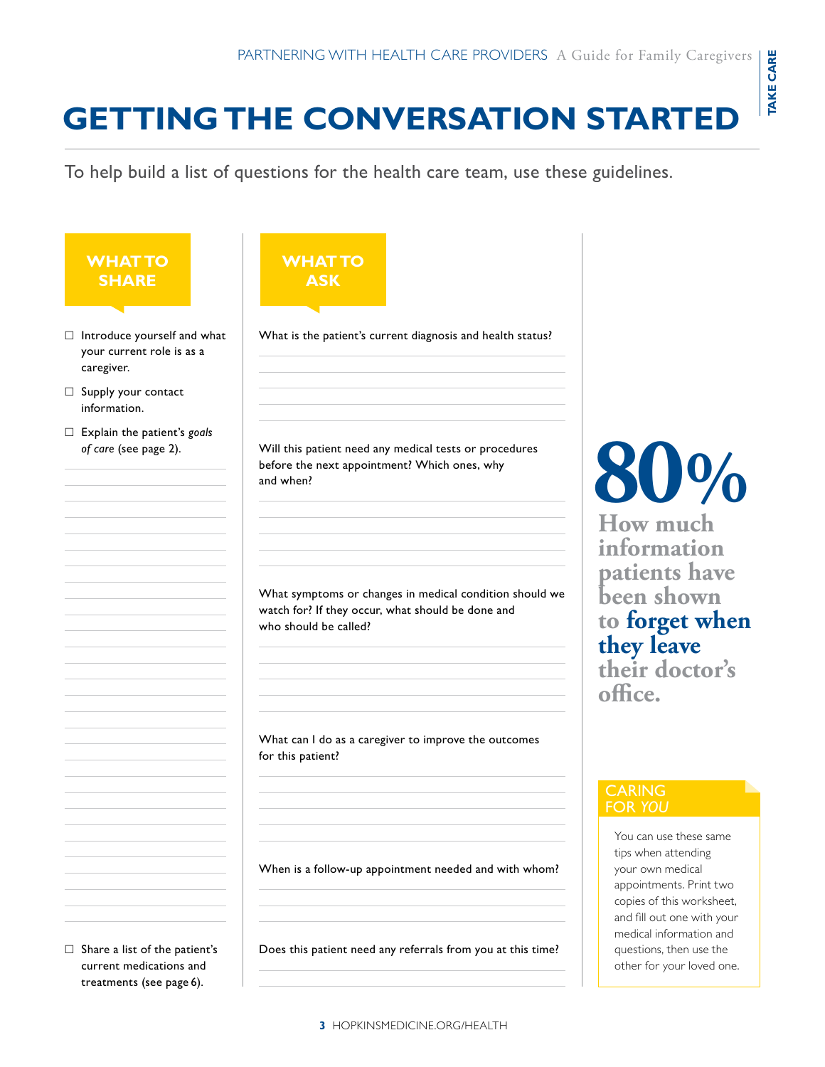### **getting the conversation started**

To help build a list of questions for the health care team, use these guidelines.

**What to ask** 

### **What to share**

- $\Box$  Introduce yourself and what your current role is as a caregiver.
- $\Box$  Supply your contact information.
- Explain the patient's *goals of care* (see page 2).

Will this patient need any medical tests or procedures before the next appointment? Which ones, why and when?

What is the patient's current diagnosis and health status?

What symptoms or changes in medical condition should we watch for? If they occur, what should be done and who should be called?

What can I do as a caregiver to improve the outcomes for this patient?

When is a follow-up appointment needed and with whom?

 $\Box$  Share a list of the patient's current medications and treatments (see page 6).

Does this patient need any referrals from you at this time?

# **80 %**

**How much information patients have been shown to forget when they leave their doctor's office.**

### **CARING** for *you*

You can use these same tips when attending your own medical appointments. Print two copies of this worksheet, and fill out one with your medical information and questions, then use the other for your loved one.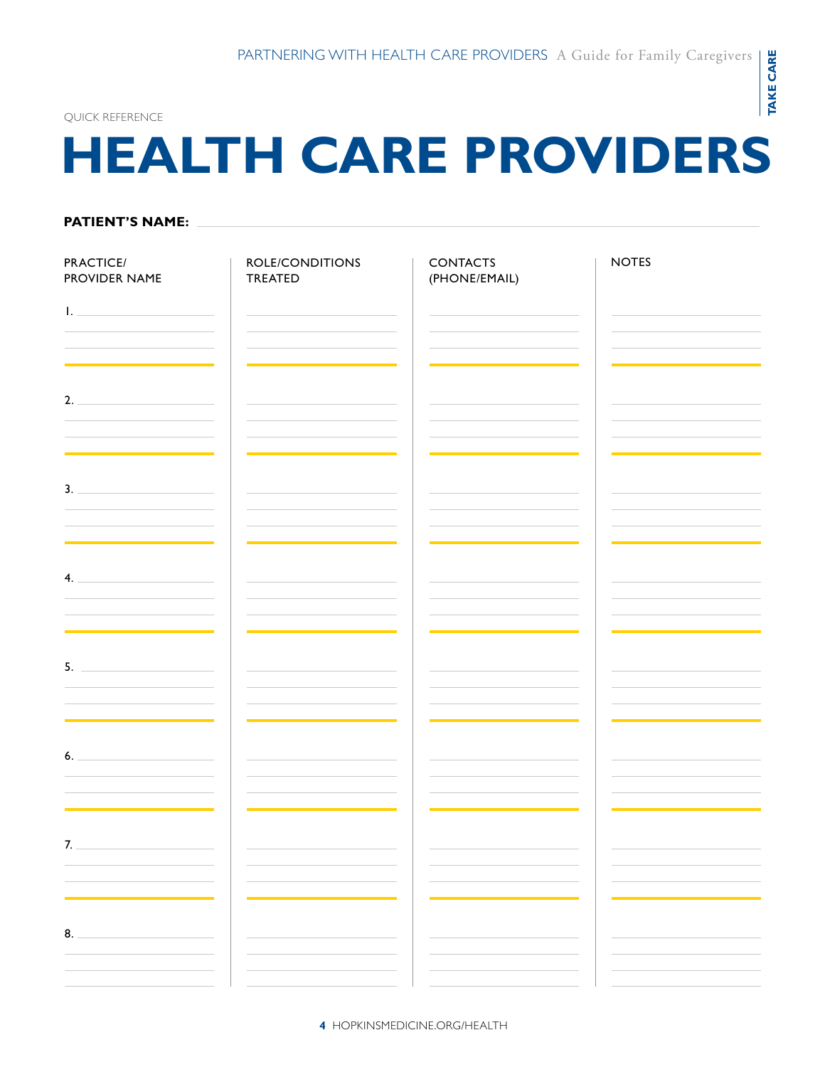**take care**

**TAKE CARE** 

#### quick REFERENCE

### **health care providers**

### **Patient's name:**

| PRACTICE/<br>PROVIDER NAME                                                                                                                                                                                                                                                                                                                                                                                                                       | ROLE/CONDITIONS<br>TREATED                                                                                            | <b>CONTACTS</b><br>(PHONE/EMAIL)             | <b>NOTES</b>                 |
|--------------------------------------------------------------------------------------------------------------------------------------------------------------------------------------------------------------------------------------------------------------------------------------------------------------------------------------------------------------------------------------------------------------------------------------------------|-----------------------------------------------------------------------------------------------------------------------|----------------------------------------------|------------------------------|
| <b>I.</b> <u>All and the second contract of</u>                                                                                                                                                                                                                                                                                                                                                                                                  |                                                                                                                       |                                              |                              |
|                                                                                                                                                                                                                                                                                                                                                                                                                                                  | <u> 1989 - Johann Barn, mars et al. 1989 - Anna ann an t-Anna ann an t-Anna ann an t-Anna ann an t-Anna ann an t-</u> |                                              |                              |
| 2.                                                                                                                                                                                                                                                                                                                                                                                                                                               |                                                                                                                       |                                              |                              |
| <u> Andreas Andrew Maria (1986)</u>                                                                                                                                                                                                                                                                                                                                                                                                              | the control of the control of the control of the control of the control of                                            | the control of the control of the control of |                              |
| 3.                                                                                                                                                                                                                                                                                                                                                                                                                                               |                                                                                                                       |                                              |                              |
| <u> 1989 - Johann John Stein, mars et al. 1989 - John Stein, mars et al. 1989 - John Stein, mars et al. 1989 - Joh</u><br>$\mathbf{4}$ .                                                                                                                                                                                                                                                                                                         | the control of the control of the control of the control of the control of                                            |                                              |                              |
|                                                                                                                                                                                                                                                                                                                                                                                                                                                  |                                                                                                                       |                                              |                              |
| <u> 1989 - Johann Barn, mars et al. 1989 - Anna ann an t-Anna ann an t-Anna ann an t-Anna ann an t-Anna ann an t-A</u><br>$5.$ $\frac{1}{2}$ $\frac{1}{2}$ $\frac{1}{2}$ $\frac{1}{2}$ $\frac{1}{2}$ $\frac{1}{2}$ $\frac{1}{2}$ $\frac{1}{2}$ $\frac{1}{2}$ $\frac{1}{2}$ $\frac{1}{2}$ $\frac{1}{2}$ $\frac{1}{2}$ $\frac{1}{2}$ $\frac{1}{2}$ $\frac{1}{2}$ $\frac{1}{2}$ $\frac{1}{2}$ $\frac{1}{2}$ $\frac{1}{2}$ $\frac{1}{2}$ $\frac{1}{$ |                                                                                                                       |                                              |                              |
|                                                                                                                                                                                                                                                                                                                                                                                                                                                  |                                                                                                                       |                                              | <u> 1980 - Jan Barbara (</u> |
| 6.                                                                                                                                                                                                                                                                                                                                                                                                                                               |                                                                                                                       |                                              |                              |
|                                                                                                                                                                                                                                                                                                                                                                                                                                                  |                                                                                                                       |                                              |                              |
| 7.<br>the control of the control of the control of the control of                                                                                                                                                                                                                                                                                                                                                                                | the control of the control of the control of the control of the control of the control of                             |                                              |                              |
|                                                                                                                                                                                                                                                                                                                                                                                                                                                  |                                                                                                                       |                                              |                              |
| 8.                                                                                                                                                                                                                                                                                                                                                                                                                                               |                                                                                                                       |                                              |                              |
|                                                                                                                                                                                                                                                                                                                                                                                                                                                  |                                                                                                                       |                                              |                              |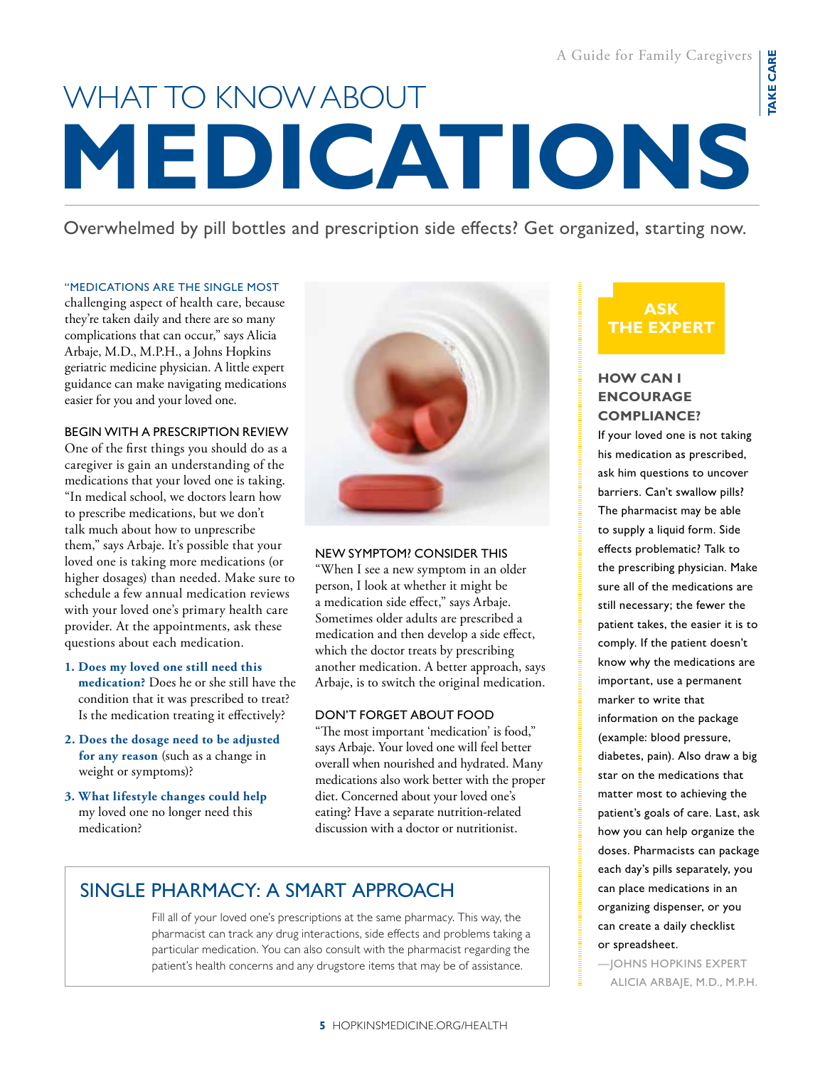# **medications** what to know about

Overwhelmed by pill bottles and prescription side effects? Get organized, starting now.

### "Medications are the single most

challenging aspect of health care, because they're taken daily and there are so many complications that can occur," says Alicia Arbaje, M.D., M.P.H., a Johns Hopkins geriatric medicine physician. A little expert guidance can make navigating medications easier for you and your loved one.

#### begin with a Prescription review

One of the first things you should do as a caregiver is gain an understanding of the medications that your loved one is taking. "In medical school, we doctors learn how to prescribe medications, but we don't talk much about how to unprescribe them," says Arbaje. It's possible that your loved one is taking more medications (or higher dosages) than needed. Make sure to schedule a few annual medication reviews with your loved one's primary health care provider. At the appointments, ask these questions about each medication.

- **1. Does my loved one still need this medication?** Does he or she still have the condition that it was prescribed to treat? Is the medication treating it effectively?
- **2. Does the dosage need to be adjusted for any reason** (such as a change in weight or symptoms)?
- **3. What lifestyle changes could help**  my loved one no longer need this medication?



#### new symptom? consider this

"When I see a new symptom in an older person, I look at whether it might be a medication side effect," says Arbaje. Sometimes older adults are prescribed a medication and then develop a side effect, which the doctor treats by prescribing another medication. A better approach, says Arbaje, is to switch the original medication.

### don't forget about food

"The most important 'medication' is food," says Arbaje. Your loved one will feel better overall when nourished and hydrated. Many medications also work better with the proper diet. Concerned about your loved one's eating? Have a separate nutrition-related discussion with a doctor or nutritionist.

### Single Pharmacy: A Smart Approach

Fill all of your loved one's prescriptions at the same pharmacy. This way, the pharmacist can track any drug interactions, side effects and problems taking a particular medication. You can also consult with the pharmacist regarding the patient's health concerns and any drugstore items that may be of assistance.

### **ask the expert**

### **How can I encourage compliance?**

If your loved one is not taking his medication as prescribed, ask him questions to uncover barriers. Can't swallow pills? The pharmacist may be able to supply a liquid form. Side effects problematic? Talk to the prescribing physician. Make sure all of the medications are still necessary; the fewer the patient takes, the easier it is to comply. If the patient doesn't know why the medications are important, use a permanent marker to write that information on the package (example: blood pressure, diabetes, pain). Also draw a big star on the medications that matter most to achieving the patient's goals of care. Last, ask how you can help organize the doses. Pharmacists can package each day's pills separately, you can place medications in an organizing dispenser, or you can create a daily checklist or spreadsheet.

—Johns Hopkins Expert Alicia Arbaje, M.D., M.P.H.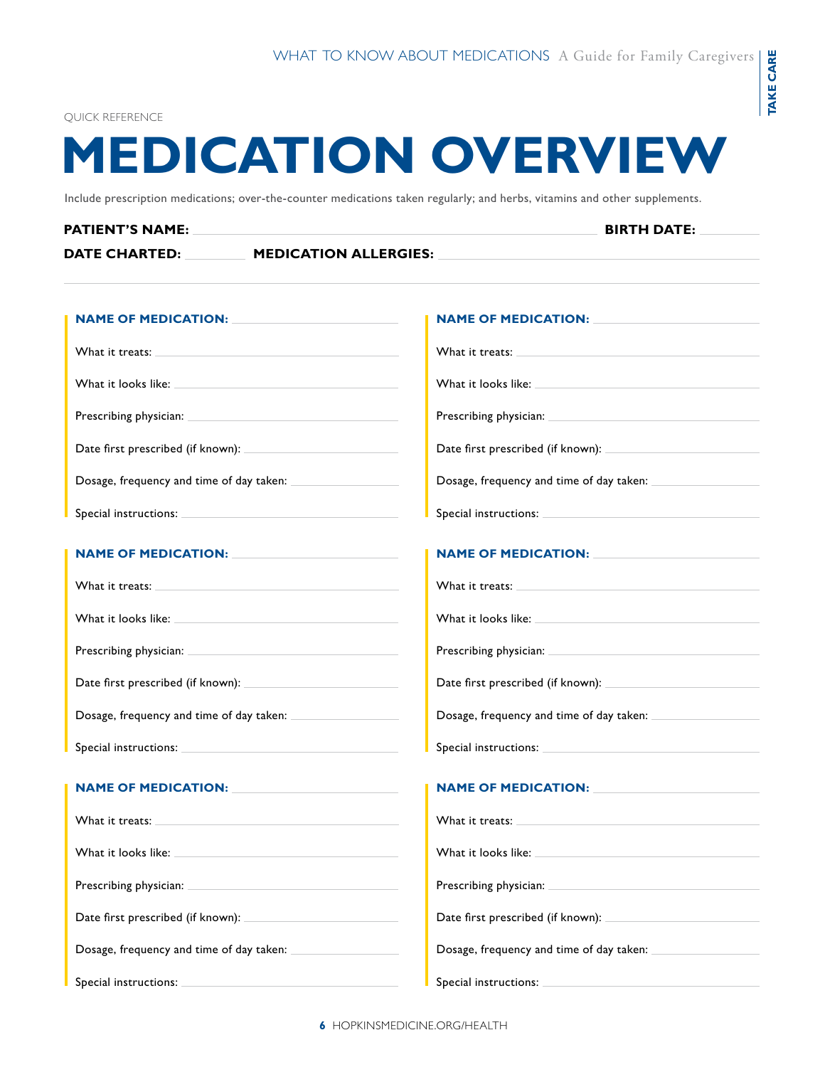**take care**

**TAKE CARE** 

#### QUICK REFER

### **medication overvie w**

Include prescription medications; over-the-counter medications taken regularly; and herbs, vitamins and other supplements.

### **PATIENT'S NAME:** BIRTH DATE: **BIRTH DATE:**  $\blacksquare$ **Date charted: Medication allergies:**

| <b>NAME OF MEDICATION:</b> NAME OF MEDICATION                                                                                                                                                                                  | <b>NAME OF MEDICATION:</b>                                                                                                                                                                                                     |  |
|--------------------------------------------------------------------------------------------------------------------------------------------------------------------------------------------------------------------------------|--------------------------------------------------------------------------------------------------------------------------------------------------------------------------------------------------------------------------------|--|
| What it treats: What is a series of the series of the series of the series of the series of the series of the series of the series of the series of the series of the series of the series of the series of the series of the  | What it treats: What is a series of the series of the series of the series of the series of the series of the series of the series of the series of the series of the series of the series of the series of the series of the  |  |
| What it looks like: What is a series of the series of the series of the series of the series of the series of the series of the series of the series of the series of the series of the series of the series of the series of  | What it looks like: What it looks like:                                                                                                                                                                                        |  |
|                                                                                                                                                                                                                                |                                                                                                                                                                                                                                |  |
|                                                                                                                                                                                                                                |                                                                                                                                                                                                                                |  |
|                                                                                                                                                                                                                                | Dosage, frequency and time of day taken:                                                                                                                                                                                       |  |
|                                                                                                                                                                                                                                |                                                                                                                                                                                                                                |  |
| NAME OF MEDICATION: NAME OF MEDICATION                                                                                                                                                                                         | NAME OF MEDICATION: NAME OF MEDICATION                                                                                                                                                                                         |  |
| What it treats: What is a series of the series of the series of the series of the series of the series of the series of the series of the series of the series of the series of the series of the series of the series of the  |                                                                                                                                                                                                                                |  |
|                                                                                                                                                                                                                                |                                                                                                                                                                                                                                |  |
| What it looks like: What is a series of the series of the series of the series of the series of the series of the series of the series of the series of the series of the series of the series of the series of the series of  | What it looks like: What it looks like:                                                                                                                                                                                        |  |
|                                                                                                                                                                                                                                |                                                                                                                                                                                                                                |  |
|                                                                                                                                                                                                                                |                                                                                                                                                                                                                                |  |
|                                                                                                                                                                                                                                |                                                                                                                                                                                                                                |  |
|                                                                                                                                                                                                                                |                                                                                                                                                                                                                                |  |
| <b>NAME OF MEDICATION:</b> NAME OF MEDICATION                                                                                                                                                                                  | <b>NAME OF MEDICATION:</b>                                                                                                                                                                                                     |  |
|                                                                                                                                                                                                                                |                                                                                                                                                                                                                                |  |
| What it treats: What is not all the set of the set of the set of the set of the set of the set of the set of the set of the set of the set of the set of the set of the set of the set of the set of the set of the set of the | What it treats: Note that the set of the set of the set of the set of the set of the set of the set of the set of the set of the set of the set of the set of the set of the set of the set of the set of the set of the set o |  |
| What it looks like: when the control of the control of the control of the control of the control of the control of the control of the control of the control of the control of the control of the control of the control of th | What it looks like:                                                                                                                                                                                                            |  |
|                                                                                                                                                                                                                                |                                                                                                                                                                                                                                |  |
|                                                                                                                                                                                                                                |                                                                                                                                                                                                                                |  |
|                                                                                                                                                                                                                                |                                                                                                                                                                                                                                |  |
|                                                                                                                                                                                                                                |                                                                                                                                                                                                                                |  |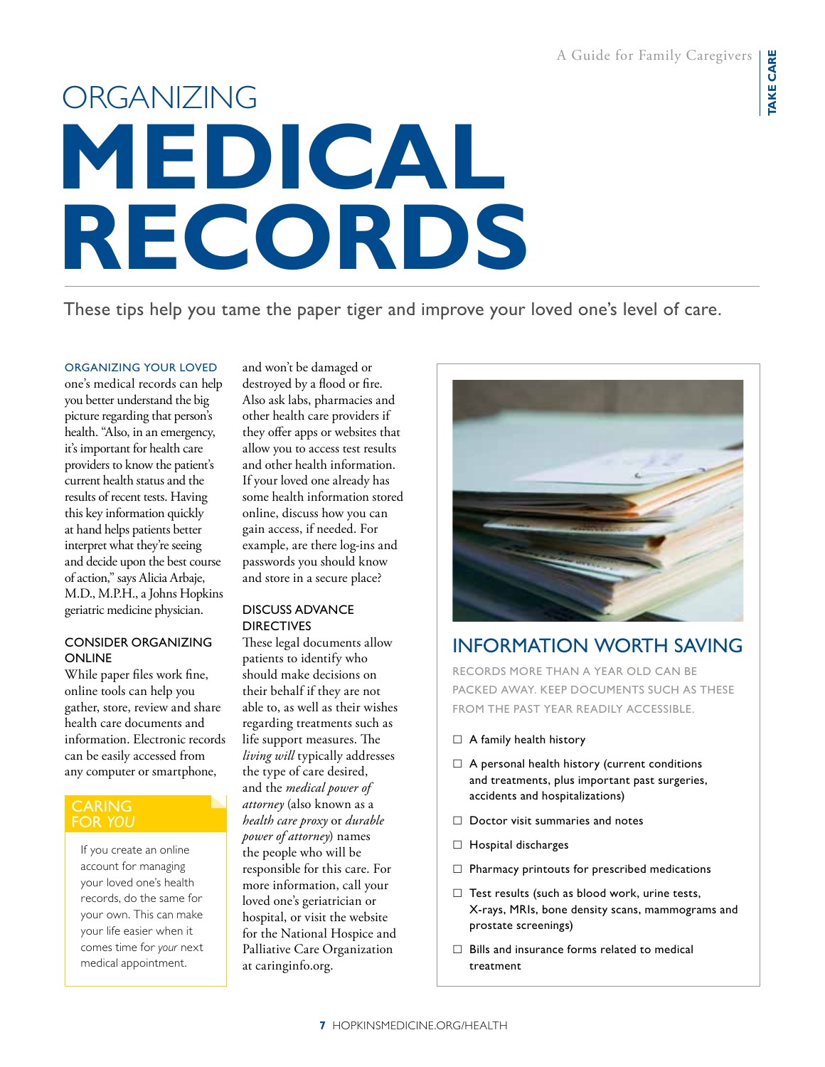# **medical records ORGANIZING**

These tips help you tame the paper tiger and improve your loved one's level of care.

### organizing your loved

one's medical records can help you better understand the big picture regarding that person's health. "Also, in an emergency, it's important for health care providers to know the patient's current health status and the results of recent tests. Having this key information quickly at hand helps patients better interpret what they're seeing and decide upon the best course of action," says Alicia Arbaje, M.D., M.P.H., a Johns Hopkins geriatric medicine physician.

### Consider Organizing **ONLINE**

While paper files work fine, online tools can help you gather, store, review and share health care documents and information. Electronic records can be easily accessed from any computer or smartphone,

### **CARING** for *you*

If you create an online account for managing your loved one's health records, do the same for your own. This can make your life easier when it comes time for *your* next medical appointment.

and won't be damaged or destroyed by a flood or fire. Also ask labs, pharmacies and other health care providers if they offer apps or websites that allow you to access test results and other health information. If your loved one already has some health information stored online, discuss how you can gain access, if needed. For example, are there log-ins and passwords you should know and store in a secure place?

### Discuss Advance **DIRECTIVES**

These legal documents allow patients to identify who should make decisions on their behalf if they are not able to, as well as their wishes regarding treatments such as life support measures. The *living will* typically addresses the type of care desired, and the *medical power of attorney* (also known as a *health care proxy* or *durable power of attorney*) names the people who will be responsible for this care. For more information, call your loved one's geriatrician or hospital, or visit the website for the National Hospice and Palliative Care Organization at caringinfo.org.



### Information Worth Saving

Records more than a year old can be packed away. Keep documents such as these from the past year readily accessible.

- $\Box$  A family health history
- $\Box$  A personal health history (current conditions and treatments, plus important past surgeries, accidents and hospitalizations)
- $\Box$  Doctor visit summaries and notes
- $\Box$  Hospital discharges
- $\Box$  Pharmacy printouts for prescribed medications
- $\Box$  Test results (such as blood work, urine tests, X-rays, MRIs, bone density scans, mammograms and prostate screenings)
- $\Box$  Bills and insurance forms related to medical treatment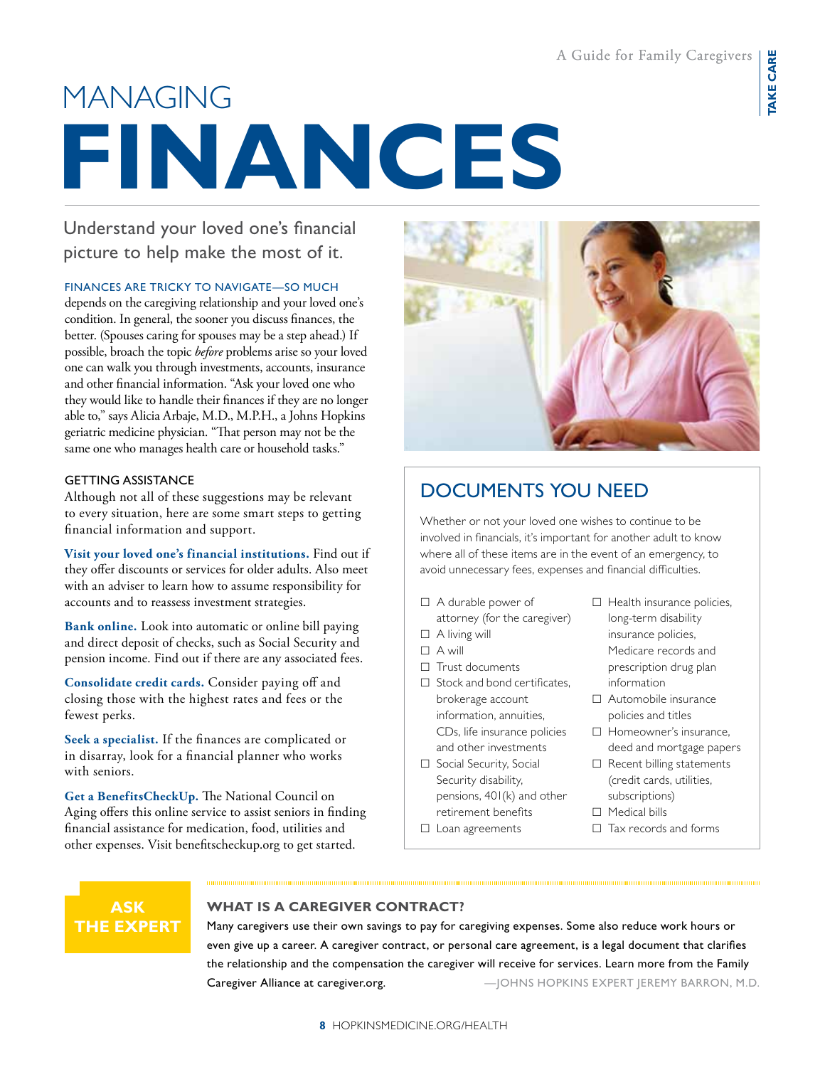## **finances MANAGING**

Understand your loved one's financial picture to help make the most of it.

### Finances are tricky to navigate—so much

depends on the caregiving relationship and your loved one's condition. In general, the sooner you discuss finances, the better. (Spouses caring for spouses may be a step ahead.) If possible, broach the topic *before* problems arise so your loved one can walk you through investments, accounts, insurance and other financial information. "Ask your loved one who they would like to handle their finances if they are no longer able to," says Alicia Arbaje, M.D., M.P.H., a Johns Hopkins geriatric medicine physician. "That person may not be the same one who manages health care or household tasks."

### **GETTING ASSISTANCE**

Although not all of these suggestions may be relevant to every situation, here are some smart steps to getting financial information and support.

**Visit your loved one's financial institutions.** Find out if they offer discounts or services for older adults. Also meet with an adviser to learn how to assume responsibility for accounts and to reassess investment strategies.

**Bank online.** Look into automatic or online bill paying and direct deposit of checks, such as Social Security and pension income. Find out if there are any associated fees.

**Consolidate credit cards.** Consider paying off and closing those with the highest rates and fees or the fewest perks.

**Seek a specialist.** If the finances are complicated or in disarray, look for a financial planner who works with seniors.

**Get a BenefitsCheckUp.** The National Council on Aging offers this online service to assist seniors in finding financial assistance for medication, food, utilities and other expenses. Visit benefitscheckup.org to get started.

### Documents You Need

Whether or not your loved one wishes to continue to be involved in financials, it's important for another adult to know where all of these items are in the event of an emergency, to avoid unnecessary fees, expenses and financial difficulties.

- A durable power of
- attorney (for the caregiver)
- $\Box$  A living will
- A will
- $\Box$  Trust documents
- $\Box$  Stock and bond certificates, brokerage account information, annuities, CDs, life insurance policies and other investments
- □ Social Security, Social Security disability, pensions, 401(k) and other retirement benefits
- $\Box$  Loan agreements
- $\Box$  Health insurance policies, long-term disability insurance policies, Medicare records and prescription drug plan information
- Automobile insurance policies and titles
- □ Homeowner's insurance, deed and mortgage papers
- $\Box$  Recent billing statements (credit cards, utilities, subscriptions)
- $\Box$  Medical bills
- $\Box$  Tax records and forms



### **What is a caregiver contract?**

Many caregivers use their own savings to pay for caregiving expenses. Some also reduce work hours or even give up a career. A caregiver contract, or personal care agreement, is a legal document that clarifies the relationship and the compensation the caregiver will receive for services. Learn more from the Family Caregiver Alliance at caregiver.org. **Example 20 All Accords** Alleman Morths Expert JEREMY BARRON, M.D.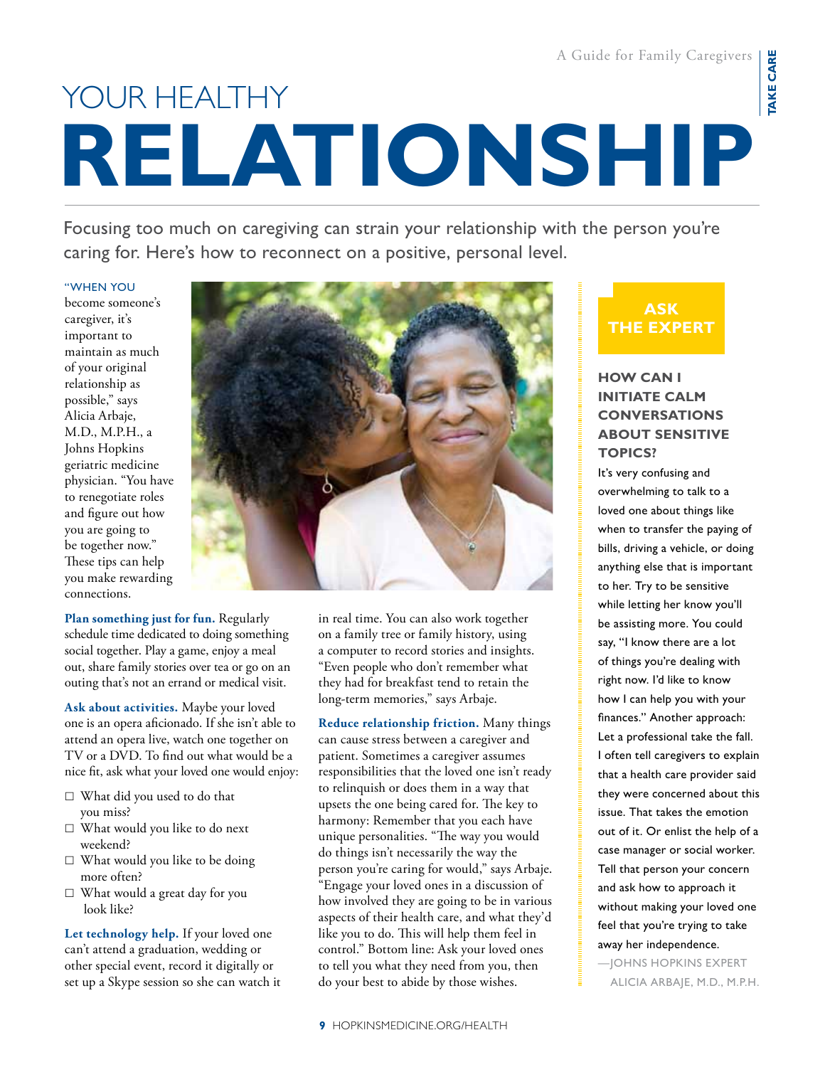A Guide for Family Caregivers

# **relationship** YOUR HEALTHY

Focusing too much on caregiving can strain your relationship with the person you're caring for. Here's how to reconnect on a positive, personal level.

### "When you

become someone's caregiver, it's important to maintain as much of your original relationship as possible," says Alicia Arbaje, M.D., M.P.H., a Johns Hopkins geriatric medicine physician. "You have to renegotiate roles and figure out how you are going to be together now." These tips can help you make rewarding connections.

**Plan something just for fun.** Regularly schedule time dedicated to doing something social together. Play a game, enjoy a meal out, share family stories over tea or go on an outing that's not an errand or medical visit.

**Ask about activities.** Maybe your loved one is an opera aficionado. If she isn't able to attend an opera live, watch one together on TV or a DVD. To find out what would be a nice fit, ask what your loved one would enjoy:

- What did you used to do that you miss?
- What would you like to do next weekend?
- $\Box$  What would you like to be doing more often?
- What would a great day for you look like?

**Let technology help.** If your loved one can't attend a graduation, wedding or other special event, record it digitally or set up a Skype session so she can watch it



in real time. You can also work together on a family tree or family history, using a computer to record stories and insights. "Even people who don't remember what they had for breakfast tend to retain the long-term memories," says Arbaje.

**Reduce relationship friction.** Many things can cause stress between a caregiver and patient. Sometimes a caregiver assumes responsibilities that the loved one isn't ready to relinquish or does them in a way that upsets the one being cared for. The key to harmony: Remember that you each have unique personalities. "The way you would do things isn't necessarily the way the person you're caring for would," says Arbaje. "Engage your loved ones in a discussion of how involved they are going to be in various aspects of their health care, and what they'd like you to do. This will help them feel in control." Bottom line: Ask your loved ones to tell you what they need from you, then do your best to abide by those wishes.

### **ask the expert**

### **How can I initiate calm conversations about sensitive topics?**

It's very confusing and overwhelming to talk to a loved one about things like when to transfer the paying of bills, driving a vehicle, or doing anything else that is important to her. Try to be sensitive while letting her know you'll be assisting more. You could say, "I know there are a lot of things you're dealing with right now. I'd like to know how I can help you with your finances." Another approach: Let a professional take the fall. I often tell caregivers to explain that a health care provider said they were concerned about this issue. That takes the emotion out of it. Or enlist the help of a case manager or social worker. Tell that person your concern and ask how to approach it without making your loved one feel that you're trying to take away her independence.

—Johns Hopkins expert Alicia Arbaje, M.D., M.P.H.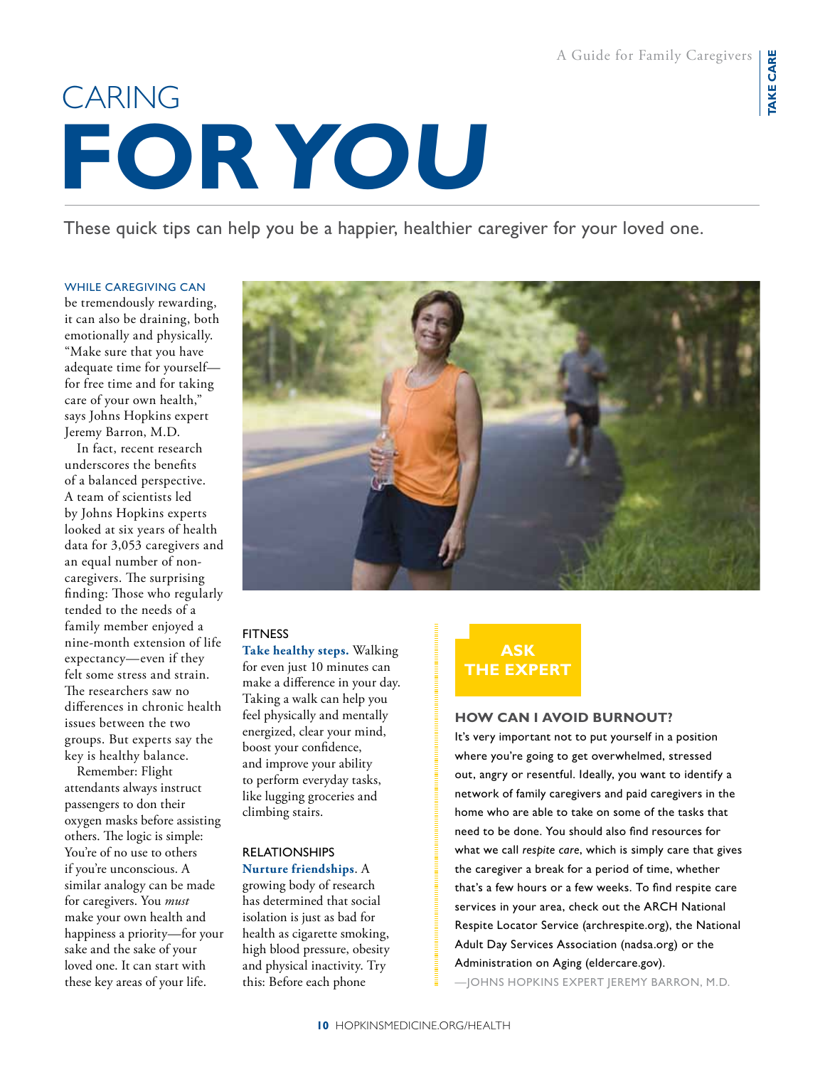## **for you** CARING

These quick tips can help you be a happier, healthier caregiver for your loved one.

### While caregiving can

be tremendously rewarding, it can also be draining, both emotionally and physically. "Make sure that you have adequate time for yourself for free time and for taking care of your own health," says Johns Hopkins expert Jeremy Barron, M.D.

In fact, recent research underscores the benefits of a balanced perspective. A team of scientists led by Johns Hopkins experts looked at six years of health data for 3,053 caregivers and an equal number of noncaregivers. The surprising finding: Those who regularly tended to the needs of a family member enjoyed a nine-month extension of life expectancy—even if they felt some stress and strain. The researchers saw no differences in chronic health issues between the two groups. But experts say the key is healthy balance.

Remember: Flight attendants always instruct passengers to don their oxygen masks before assisting others. The logic is simple: You're of no use to others if you're unconscious. A similar analogy can be made for caregivers. You *must* make your own health and happiness a priority—for your sake and the sake of your loved one. It can start with these key areas of your life.

### **FITNESS**

**Take healthy steps.** Walking for even just 10 minutes can make a difference in your day. Taking a walk can help you feel physically and mentally energized, clear your mind, boost your confidence, and improve your ability to perform everyday tasks, like lugging groceries and climbing stairs.

### RELATIONSHIPS **Nurture friendships**. A

growing body of research has determined that social isolation is just as bad for health as cigarette smoking, high blood pressure, obesity and physical inactivity. Try this: Before each phone



### **How can I avoid burnout?**

It's very important not to put yourself in a position where you're going to get overwhelmed, stressed out, angry or resentful. Ideally, you want to identify a network of family caregivers and paid caregivers in the home who are able to take on some of the tasks that need to be done. You should also find resources for what we call *respite care*, which is simply care that gives the caregiver a break for a period of time, whether that's a few hours or a few weeks. To find respite care services in your area, check out the ARCH National Respite Locator Service (archrespite.org), the National Adult Day Services Association (nadsa.org) or the Administration on Aging (eldercare.gov).

—Johns Hopkins expert jeremy Barron, M.D.

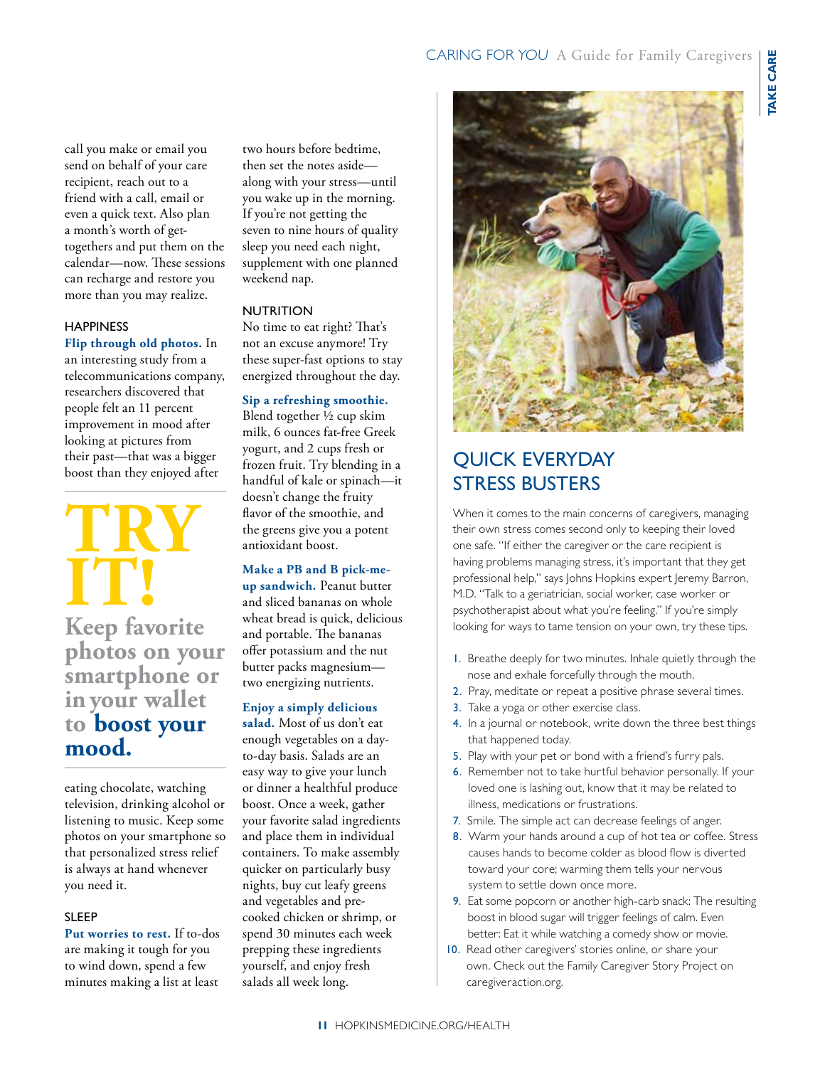call you make or email you send on behalf of your care recipient, reach out to a friend with a call, email or even a quick text. Also plan a month's worth of gettogethers and put them on the calendar—now. These sessions can recharge and restore you more than you may realize.

### **HAPPINESS**

**Flip through old photos.** In an interesting study from a telecommunications company, researchers discovered that people felt an 11 percent improvement in mood after looking at pictures from their past—that was a bigger boost than they enjoyed after

### $TRY$ **it!**

**Keep favorite photos on your smartphone or in your wallet to boost your mood.**

eating chocolate, watching television, drinking alcohol or listening to music. Keep some photos on your smartphone so that personalized stress relief is always at hand whenever you need it.

### SLEEP

**Put worries to rest.** If to-dos are making it tough for you to wind down, spend a few minutes making a list at least

two hours before bedtime, then set the notes aside along with your stress—until you wake up in the morning. If you're not getting the seven to nine hours of quality sleep you need each night, supplement with one planned weekend nap.

### **NUTRITION**

No time to eat right? That's not an excuse anymore! Try these super-fast options to stay energized throughout the day.

### **Sip a refreshing smoothie.**

Blend together ½ cup skim milk, 6 ounces fat-free Greek yogurt, and 2 cups fresh or frozen fruit. Try blending in a handful of kale or spinach—it doesn't change the fruity flavor of the smoothie, and the greens give you a potent antioxidant boost.

### **Make a PB and B pick-meup sandwich.** Peanut butter and sliced bananas on whole wheat bread is quick, delicious and portable. The bananas offer potassium and the nut butter packs magnesium two energizing nutrients.

### **Enjoy a simply delicious**

**salad.** Most of us don't eat enough vegetables on a dayto-day basis. Salads are an easy way to give your lunch or dinner a healthful produce boost. Once a week, gather your favorite salad ingredients and place them in individual containers. To make assembly quicker on particularly busy nights, buy cut leafy greens and vegetables and precooked chicken or shrimp, or spend 30 minutes each week prepping these ingredients yourself, and enjoy fresh salads all week long.



### Quick Everyday Stress Busters

When it comes to the main concerns of caregivers, managing their own stress comes second only to keeping their loved one safe. "If either the caregiver or the care recipient is having problems managing stress, it's important that they get professional help," says Johns Hopkins expert Jeremy Barron, M.D. "Talk to a geriatrician, social worker, case worker or psychotherapist about what you're feeling." If you're simply looking for ways to tame tension on your own, try these tips.

- 1. Breathe deeply for two minutes. Inhale quietly through the nose and exhale forcefully through the mouth.
- 2. Pray, meditate or repeat a positive phrase several times.
- 3. Take a yoga or other exercise class.
- 4. In a journal or notebook, write down the three best things that happened today.
- 5. Play with your pet or bond with a friend's furry pals.
- 6. Remember not to take hurtful behavior personally. If your loved one is lashing out, know that it may be related to illness, medications or frustrations.
- 7. Smile. The simple act can decrease feelings of anger.
- 8. Warm your hands around a cup of hot tea or coffee. Stress causes hands to become colder as blood flow is diverted toward your core; warming them tells your nervous system to settle down once more.
- 9. Eat some popcorn or another high-carb snack: The resulting boost in blood sugar will trigger feelings of calm. Even better: Eat it while watching a comedy show or movie.
- 10. Read other caregivers' stories online, or share your own. Check out the Family Caregiver Story Project on caregiveraction.org.